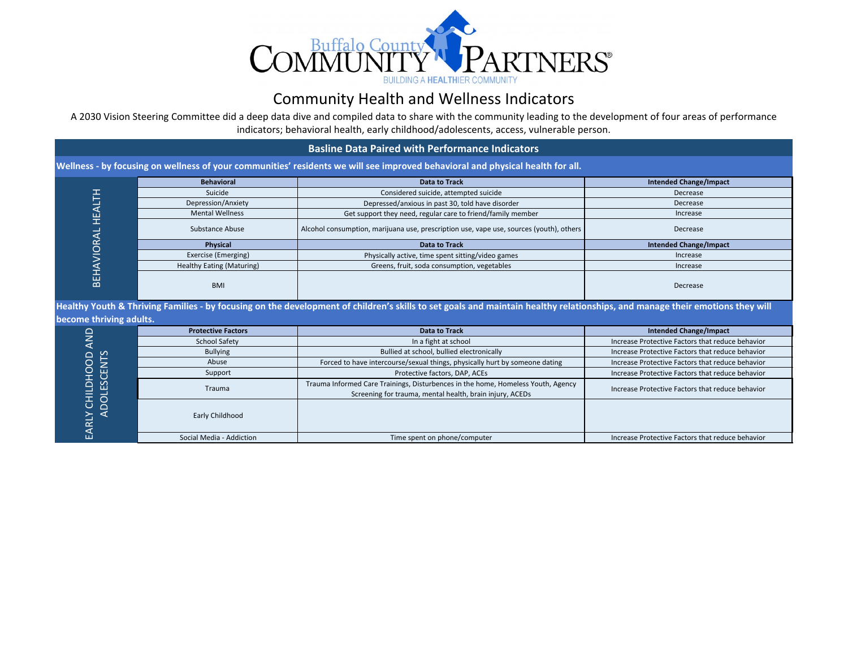

## Community Health and Wellness Indicators

A 2030 Vision Steering Committee did a deep data dive and compiled data to share with the community leading to the development of four areas of performance indicators; behavioral health, early childhood/adolescents, access, vulnerable person.

|                                                                                                                                                                                                         |                                  | <b>Basline Data Paired with Performance Indicators</b>                                                                                       |                                                  |  |  |  |  |
|---------------------------------------------------------------------------------------------------------------------------------------------------------------------------------------------------------|----------------------------------|----------------------------------------------------------------------------------------------------------------------------------------------|--------------------------------------------------|--|--|--|--|
|                                                                                                                                                                                                         |                                  | Wellness - by focusing on wellness of your communities' residents we will see improved behavioral and physical health for all.               |                                                  |  |  |  |  |
|                                                                                                                                                                                                         | <b>Behavioral</b>                | <b>Data to Track</b>                                                                                                                         | <b>Intended Change/Impact</b>                    |  |  |  |  |
|                                                                                                                                                                                                         | Suicide                          | Considered suicide, attempted suicide                                                                                                        | Decrease                                         |  |  |  |  |
|                                                                                                                                                                                                         | Depression/Anxiety               | Depressed/anxious in past 30, told have disorder                                                                                             | Decrease                                         |  |  |  |  |
|                                                                                                                                                                                                         | <b>Mental Wellness</b>           | Get support they need, regular care to friend/family member                                                                                  | Increase                                         |  |  |  |  |
|                                                                                                                                                                                                         | Substance Abuse                  | Alcohol consumption, marijuana use, prescription use, vape use, sources (youth), others                                                      | Decrease                                         |  |  |  |  |
|                                                                                                                                                                                                         | Physical                         | <b>Data to Track</b>                                                                                                                         | <b>Intended Change/Impact</b>                    |  |  |  |  |
|                                                                                                                                                                                                         | Exercise (Emerging)              | Physically active, time spent sitting/video games                                                                                            | Increase                                         |  |  |  |  |
| BEHAVIORAL HEALTH                                                                                                                                                                                       | <b>Healthy Eating (Maturing)</b> | Greens, fruit, soda consumption, vegetables                                                                                                  | Increase                                         |  |  |  |  |
|                                                                                                                                                                                                         | <b>BMI</b>                       |                                                                                                                                              | Decrease                                         |  |  |  |  |
| Healthy Youth & Thriving Families - by focusing on the development of children's skills to set goals and maintain healthy relationships, and manage their emotions they will<br>become thriving adults. |                                  |                                                                                                                                              |                                                  |  |  |  |  |
|                                                                                                                                                                                                         | <b>Protective Factors</b>        | <b>Data to Track</b>                                                                                                                         | <b>Intended Change/Impact</b>                    |  |  |  |  |
| <b>QINA</b>                                                                                                                                                                                             | <b>School Safety</b>             | In a fight at school                                                                                                                         | Increase Protective Factors that reduce behavior |  |  |  |  |
|                                                                                                                                                                                                         | <b>Bullying</b>                  | Bullied at school, bullied electronically                                                                                                    | Increase Protective Factors that reduce behavior |  |  |  |  |
|                                                                                                                                                                                                         | Abuse                            | Forced to have intercourse/sexual things, physically hurt by someone dating                                                                  | Increase Protective Factors that reduce behavior |  |  |  |  |
| <b>ADOLESCENTS</b><br>EARLY CHILDHOOD                                                                                                                                                                   | Support                          | Protective factors, DAP, ACEs                                                                                                                | Increase Protective Factors that reduce behavior |  |  |  |  |
|                                                                                                                                                                                                         | Trauma                           | Trauma Informed Care Trainings, Disturbences in the home, Homeless Youth, Agency<br>Screening for trauma, mental health, brain injury, ACEDs | Increase Protective Factors that reduce behavior |  |  |  |  |
|                                                                                                                                                                                                         | Early Childhood                  |                                                                                                                                              |                                                  |  |  |  |  |
|                                                                                                                                                                                                         | Social Media - Addiction         | Time spent on phone/computer                                                                                                                 | Increase Protective Factors that reduce behavior |  |  |  |  |